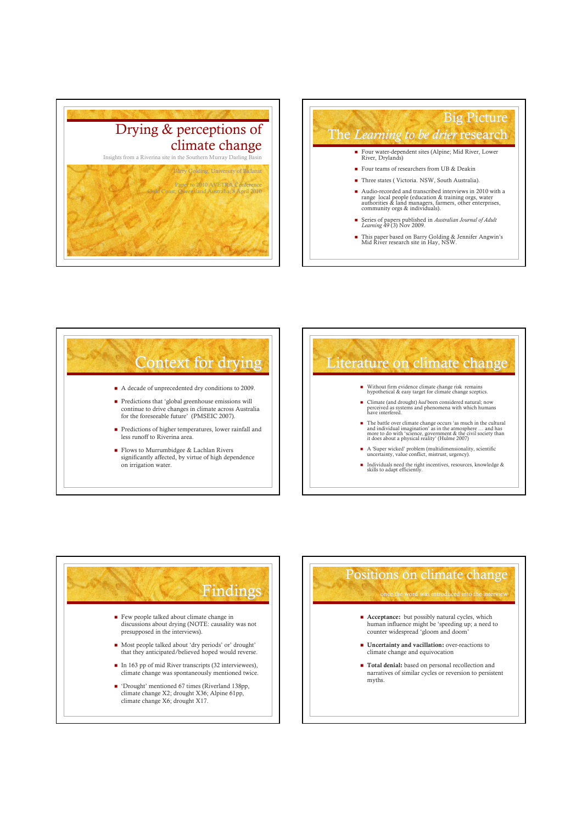





#### Literature on climate change

- Without firm evidence climate change risk remains hypothetical & easy target for climate change sceptics.
- Climate (and drought) *had* been considered natural; now<br>perceived as systems and phenomena with which humans<br>have interfered.
- The battle over climate change occurs 'as much in the cultural<br>and individual imagination' as in the atmosphere ... and has<br>more to do with 'science, government & the civil society than<br>it does about a physical reality' (
- A 'Super wicked' problem (multidimensionality, scientific uncertainty, value conflict, mistrust, urgency).
- Individuals need the right incentives, resources, knowledge & skills to adapt efficiently.



#### Positions on climate change

once the word was introduced into the intervie

- **Acceptance:** but possibly natural cycles, which human influence might be 'speeding up; a need to counter widespread 'gloom and doom'
- **Uncertainty and vacillation:** over-reactions to climate change and equivocation
- $\blacksquare$  Total denial: based on personal recollection and narratives of similar cycles or reversion to persistent myths.